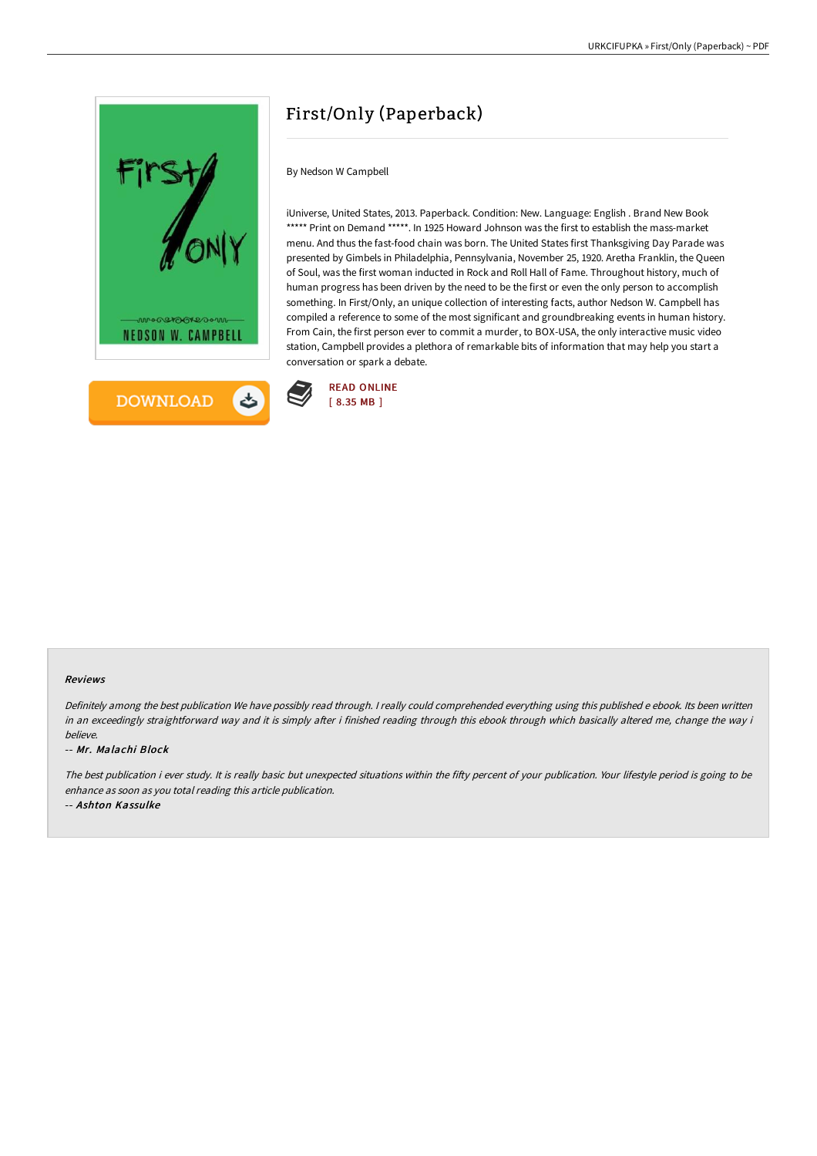



# First/Only (Paperback)

## By Nedson W Campbell

iUniverse, United States, 2013. Paperback. Condition: New. Language: English . Brand New Book \*\*\*\*\* Print on Demand \*\*\*\*\*. In 1925 Howard Johnson was the first to establish the mass-market menu. And thus the fast-food chain was born. The United States first Thanksgiving Day Parade was presented by Gimbels in Philadelphia, Pennsylvania, November 25, 1920. Aretha Franklin, the Queen of Soul, was the first woman inducted in Rock and Roll Hall of Fame. Throughout history, much of human progress has been driven by the need to be the first or even the only person to accomplish something. In First/Only, an unique collection of interesting facts, author Nedson W. Campbell has compiled a reference to some of the most significant and groundbreaking events in human history. From Cain, the first person ever to commit a murder, to BOX-USA, the only interactive music video station, Campbell provides a plethora of remarkable bits of information that may help you start a conversation or spark a debate.



#### Reviews

Definitely among the best publication We have possibly read through. I really could comprehended everything using this published e ebook. Its been written in an exceedingly straightforward way and it is simply after i finished reading through this ebook through which basically altered me, change the way i believe.

#### -- Mr. Malachi Block

The best publication i ever study. It is really basic but unexpected situations within the fifty percent of your publication. Your lifestyle period is going to be enhance as soon as you total reading this article publication.

-- Ashton Kassulke